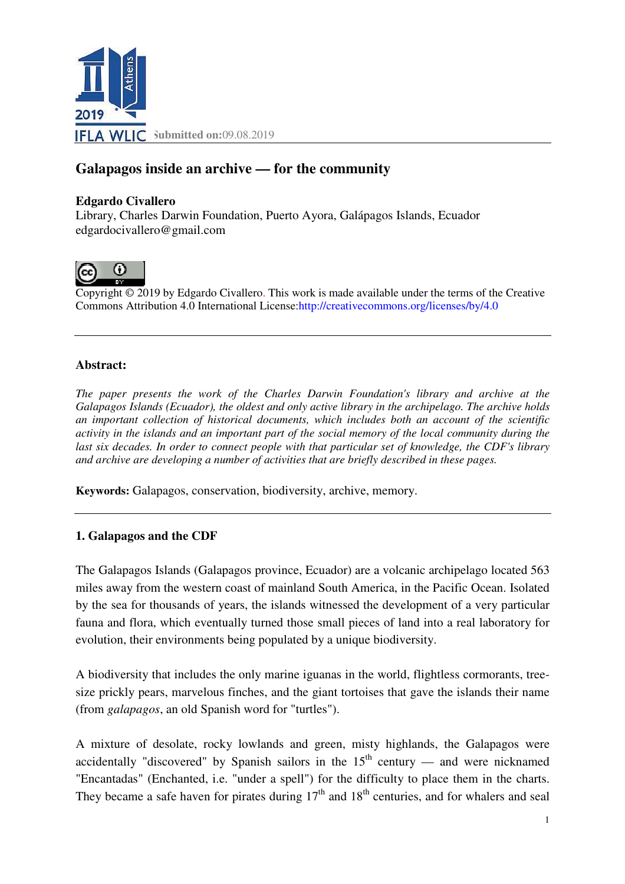

# **Galapagos inside an archive — for the community**

#### **Edgardo Civallero**

Library, Charles Darwin Foundation, Puerto Ayora, Galápagos Islands, Ecuador edgardocivallero@gmail.com



Copyright © 2019 by Edgardo Civallero. This work is made available under the terms of the Creative Copyright © 2019 by Edgardo Civallero. This work is made available under the terms of th<br>Commons Attribution 4.0 International License:http://creativecommons.org/licenses/by/4.0

#### **Abstract:**

*The paper presents the work of the Charles Darwin Foundation's library and archive at the Galapagos Islands (Ecuador), the oldest and only active library in the archipelago. The archive holds an important collection of historical documents, which includes both an account of the scientific activity in the islands and an important part of the social memory of the local community during the last six decades. In order to connect people with that particular set of knowledge, the CDF's library*  and archive are developing a number of activities that are briefly described in these pages.

**Keywords:** Galapagos, conservation, biodiversity, archive, memory.

#### **1. Galapagos and the CDF**

The Galapagos Islands (Galapagos province, Ecuador) are a volcanic archipelago located 563 miles away from the western coast of mainland South America, in the Pacific Ocean. Isolated by the sea for thousands of years, the islands witnessed the development of a very particular fauna and flora, which eventually turned those small pieces of land into a real laboratory for<br>evolution, their environments being populated by a unique biodiversity.<br>A biodiversity that includes the only marine iguanas in evolution, their environments being populated by a unique biodiversity.

A biodiversity that includes the only marine iguanas in the world, flightless cormorants, tree size prickly pears, marvelous finches, and the giant tortoises that gave the islands their name (from *galapagos*, an old Spanish word for "turtles").

A mixture of desolate, rocky lowlands and green, misty highlands, the Galapagos were accidentally "discovered" by Spanish sailors in the  $15<sup>th</sup>$  century — and were nicknamed "Encantadas" (Enchanted, i.e. "under a spell") for the difficulty to place them in the charts. They became a safe haven for pirates during  $17<sup>th</sup>$  and  $18<sup>th</sup>$  centuries, and for whalers and seal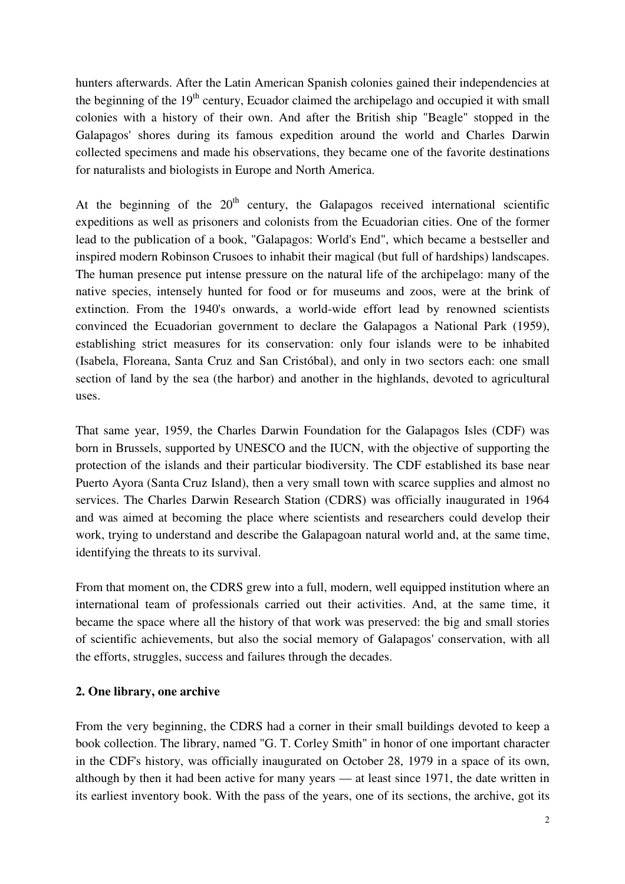hunters afterwards. After the Latin American Spanish colonies gained their independencies at the beginning of the  $19<sup>th</sup>$  century, Ecuador claimed the archipelago and occupied it with small colonies with a history of their own. And after the British ship "Beagle" stopped in the Galapagos' shores during its famous expedition around the world and Charles Darwin collected specimens and made his observations, they became one of the favorite destinations for naturalists and biologists in Europe and North America.

At the beginning of the  $20<sup>th</sup>$  century, the Galapagos received international scientific expeditions as well as prisoners and colonists from the Ecuadorian cities. One of the former lead to the publication of a book, "Galapagos: World's End", which became a bestseller and inspired modern Robinson Crusoes to inhabit their magical (but full of hardships) landscapes. The human presence put intense pressure on the natural life of the archipelago: many of the native species, intensely hunted for food or for museums and zoos, were at the brink of extinction. From the 1940's onwards, a world-wide effort lead by renowned scientists convinced the Ecuadorian government to declare the Galapagos a National Park (1959), establishing strict measures for its conservation: only four islands were to be inhabited (Isabela, Floreana, Santa Cruz and San Cristóbal), and only in two sectors each: one small section of land by the sea (the harbor) and another in the highlands, devoted to agricultural uses.

That same year, 1959, the Charles Darwin Foundation for the Galapagos Isles (CDF) was born in Brussels, supported by UNESCO and the IUCN, with the objective of supporting the protection of the islands and their particular biodiversity. The CDF established its base near Puerto Ayora (Santa Cruz Island), then a very small town with scarce supplies and almost no services. The Charles Darwin Research Station (CDRS) was officially inaugurated in 1964 and was aimed at becoming the place where scientists and researchers could develop their work, trying to understand and describe the Galapagoan natural world and, at the same time, identifying the threats to its survival.

From that moment on, the CDRS grew into a full, modern, well equipped institution where an international team of professionals carried out their activities. And, at the same time, it became the space where all the history of that work was preserved: the big and small stories of scientific achievements, but also the social memory of Galapagos' conservation, with all the efforts, struggles, success and failures through the decades.

# **2. One library, one archive**

From the very beginning, the CDRS had a corner in their small buildings devoted to keep a book collection. The library, named "G. T. Corley Smith" in honor of one important character in the CDF's history, was officially inaugurated on October 28, 1979 in a space of its own, although by then it had been active for many years — at least since 1971, the date written in its earliest inventory book. With the pass of the years, one of its sections, the archive, got its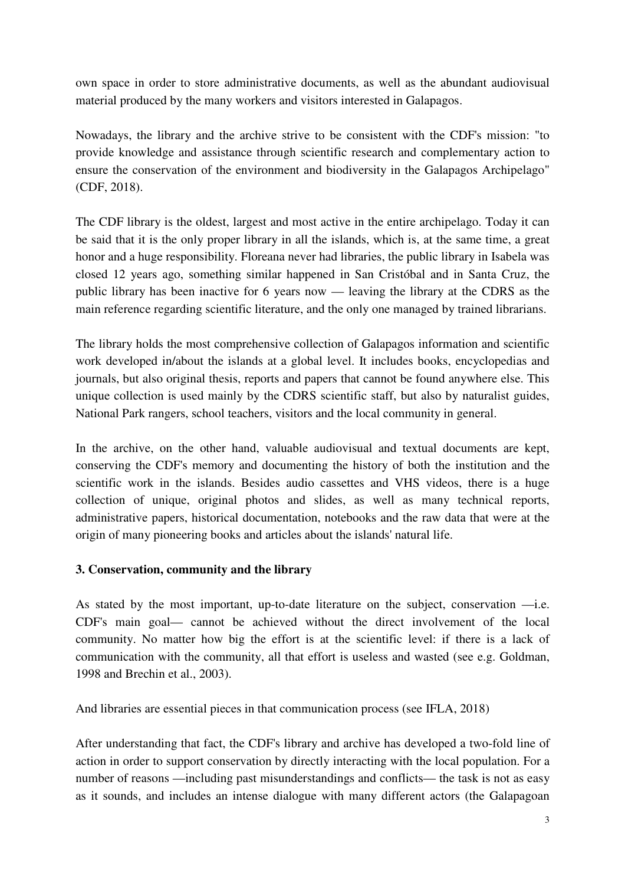own space in order to store administrative documents, as well as the abundant audiovisual material produced by the many workers and visitors interested in Galapagos.

Nowadays, the library and the archive strive to be consistent with the CDF's mission: "to provide knowledge and assistance through scientific research and complementary action to ensure the conservation of the environment and biodiversity in the Galapagos Archipelago" (CDF, 2018).

The CDF library is the oldest, largest and most active in the entire archipelago. Today it can be said that it is the only proper library in all the islands, which is, at the same time, a great honor and a huge responsibility. Floreana never had libraries, the public library in Isabela was closed 12 years ago, something similar happened in San Cristóbal and in Santa Cruz, the public library has been inactive for 6 years now — leaving the library at the CDRS as the main reference regarding scientific literature, and the only one managed by trained librarians.

The library holds the most comprehensive collection of Galapagos information and scientific work developed in/about the islands at a global level. It includes books, encyclopedias and journals, but also original thesis, reports and papers that cannot be found anywhere else. This unique collection is used mainly by the CDRS scientific staff, but also by naturalist guides, National Park rangers, school teachers, visitors and the local community in general.

In the archive, on the other hand, valuable audiovisual and textual documents are kept, conserving the CDF's memory and documenting the history of both the institution and the scientific work in the islands. Besides audio cassettes and VHS videos, there is a huge collection of unique, original photos and slides, as well as many technical reports, administrative papers, historical documentation, notebooks and the raw data that were at the origin of many pioneering books and articles about the islands' natural life.

# **3. Conservation, community and the library**

As stated by the most important, up-to-date literature on the subject, conservation —i.e. CDF's main goal— cannot be achieved without the direct involvement of the local community. No matter how big the effort is at the scientific level: if there is a lack of communication with the community, all that effort is useless and wasted (see e.g. Goldman, 1998 and Brechin et al., 2003).

And libraries are essential pieces in that communication process (see IFLA, 2018)

After understanding that fact, the CDF's library and archive has developed a two-fold line of action in order to support conservation by directly interacting with the local population. For a number of reasons —including past misunderstandings and conflicts— the task is not as easy as it sounds, and includes an intense dialogue with many different actors (the Galapagoan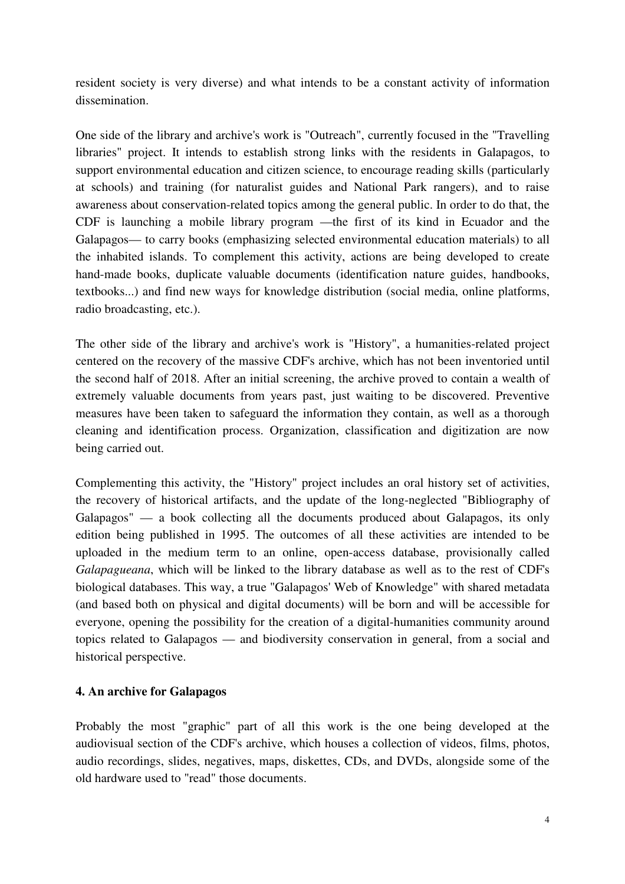resident society is very diverse) and what intends to be a constant activity of information dissemination.

One side of the library and archive's work is "Outreach", currently focused in the "Travelling libraries" project. It intends to establish strong links with the residents in Galapagos, to support environmental education and citizen science, to encourage reading skills (particularly at schools) and training (for naturalist guides and National Park rangers), and to raise awareness about conservation-related topics among the general public. In order to do that, the CDF is launching a mobile library program —the first of its kind in Ecuador and the Galapagos— to carry books (emphasizing selected environmental education materials) to all the inhabited islands. To complement this activity, actions are being developed to create hand-made books, duplicate valuable documents (identification nature guides, handbooks, textbooks...) and find new ways for knowledge distribution (social media, online platforms, radio broadcasting, etc.).

The other side of the library and archive's work is "History", a humanities-related project centered on the recovery of the massive CDF's archive, which has not been inventoried until the second half of 2018. After an initial screening, the archive proved to contain a wealth of extremely valuable documents from years past, just waiting to be discovered. Preventive measures have been taken to safeguard the information they contain, as well as a thorough cleaning and identification process. Organization, classification and digitization are now being carried out.

Complementing this activity, the "History" project includes an oral history set of activities, the recovery of historical artifacts, and the update of the long-neglected "Bibliography of Galapagos" — a book collecting all the documents produced about Galapagos, its only edition being published in 1995. The outcomes of all these activities are intended to be uploaded in the medium term to an online, open-access database, provisionally called *Galapagueana*, which will be linked to the library database as well as to the rest of CDF's biological databases. This way, a true "Galapagos' Web of Knowledge" with shared metadata (and based both on physical and digital documents) will be born and will be accessible for everyone, opening the possibility for the creation of a digital-humanities community around topics related to Galapagos — and biodiversity conservation in general, from a social and historical perspective.

# **4. An archive for Galapagos**

Probably the most "graphic" part of all this work is the one being developed at the audiovisual section of the CDF's archive, which houses a collection of videos, films, photos, audio recordings, slides, negatives, maps, diskettes, CDs, and DVDs, alongside some of the old hardware used to "read" those documents.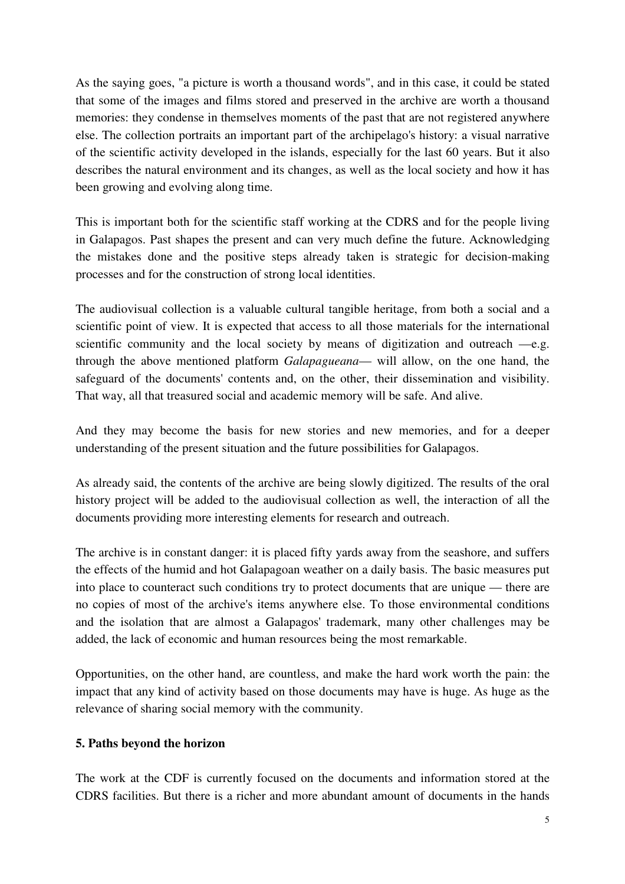As the saying goes, "a picture is worth a thousand words", and in this case, it could be stated that some of the images and films stored and preserved in the archive are worth a thousand memories: they condense in themselves moments of the past that are not registered anywhere else. The collection portraits an important part of the archipelago's history: a visual narrative of the scientific activity developed in the islands, especially for the last 60 years. But it also describes the natural environment and its changes, as well as the local society and how it has been growing and evolving along time.

This is important both for the scientific staff working at the CDRS and for the people living in Galapagos. Past shapes the present and can very much define the future. Acknowledging the mistakes done and the positive steps already taken is strategic for decision-making processes and for the construction of strong local identities.

The audiovisual collection is a valuable cultural tangible heritage, from both a social and a scientific point of view. It is expected that access to all those materials for the international scientific community and the local society by means of digitization and outreach —e.g. through the above mentioned platform *Galapagueana*— will allow, on the one hand, the safeguard of the documents' contents and, on the other, their dissemination and visibility. That way, all that treasured social and academic memory will be safe. And alive.

And they may become the basis for new stories and new memories, and for a deeper understanding of the present situation and the future possibilities for Galapagos.

As already said, the contents of the archive are being slowly digitized. The results of the oral history project will be added to the audiovisual collection as well, the interaction of all the documents providing more interesting elements for research and outreach.

The archive is in constant danger: it is placed fifty yards away from the seashore, and suffers the effects of the humid and hot Galapagoan weather on a daily basis. The basic measures put into place to counteract such conditions try to protect documents that are unique — there are no copies of most of the archive's items anywhere else. To those environmental conditions and the isolation that are almost a Galapagos' trademark, many other challenges may be added, the lack of economic and human resources being the most remarkable.

Opportunities, on the other hand, are countless, and make the hard work worth the pain: the impact that any kind of activity based on those documents may have is huge. As huge as the relevance of sharing social memory with the community.

# **5. Paths beyond the horizon**

The work at the CDF is currently focused on the documents and information stored at the CDRS facilities. But there is a richer and more abundant amount of documents in the hands